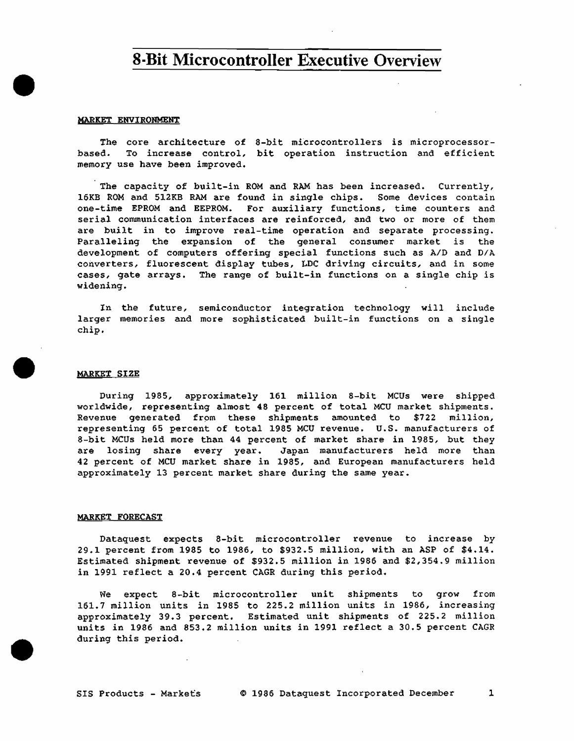## **8-Bit Microcontroller Executive Overview**

#### MARKET ENVIRONMENT

•

•

•

The core architecture of 8-bit microcontrollers is microprocessorbased. To increase control, bit operation instruction and efficient memory use have been improved.

The capacity of built-in ROM and RAM has been increased. Currently, 16KB ROM and 512KB RAM are found in single chips. Some devices contain one-time EPROM and EEPROM. For auxiliary functions, time counters and serial communication interfaces are reinforced, and two or more of them are built in to improve real-time operation and separate processing. Paralleling the expansion of the general consumer market is the development of computers offering special functions such as A/D and D/A converters, fluorescent display tubes, LDC driving circuits, and in some cases, gate arrays. The range of built-in functions on a single chip is widening.

In the future, semiconductor integration technology will include larger memories and more sophisticated built-in functions on a single chip •

#### MARKET SIZE

During 1985, approximately 161 million 8-bit MCUs were shipped worldwide, representing almost 48 percent of total MCU market shipments. Revenue generated from these shipments amounted to \$722 million, representing 65 percent of total 1985 MCU revenue. U.S. manufacturers of 8-bit MCUs held more than 44 percent of market share in 1985, but they are losing share every year. Japan manufacturers held more than 42 percent of MCU market share in 1985, and European manufacturers held approximately 13 percent market share during the same year.

#### MARKET FORECAST

Dataquest expects 8-bit microcontroller revenue to increase by 29.l percent from 1985 to 1986, to \$932.5 million, with an ASP of \$4.14. Estimated shipment revenue of \$932.5 million in 1986 and \$2,354.9 million in 1991 reflect a 20.4 percent CAGR during this period.

We expect 8-bit microcontroller unit shipments to grow from 161. 7 million units in 1985 to 225. 2 million units in 1986, increasing approximately 39.3 percent. Estimated unit shipments of 225.2 million units in 1986 and 853.2 million units in 1991 reflect a 30.5 percent CAGR during this period.